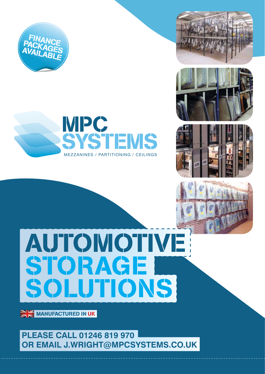











## AUTOMOTIVE STORAGE SOLUTIONS

**MANUFACTURED IN UK** 

**PLEASE CALL 01246 819 970 OR EMAIL J.WRIGHT@MPCSYSTEMS.CO.UK**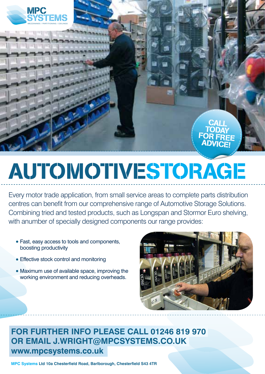

# AUTOMOTIVESTORAGE

Every motor trade application, from small service areas to complete parts distribution centres can benefit from our comprehensive range of Automotive Storage Solutions. Combining tried and tested products, such as Longspan and Stormor Euro shelving, with anumber of specially designed components our range provides:

- Fast, easy access to tools and components, boosting productivity
- **Effective stock control and monitoring**
- Maximum use of available space, improving the working environment and reducing overheads.



**CALL** TODAY FOR FREE **ADVICE!** 

**FOR FURTHER INFO PLEASE CALL 01246 819 970 OR EMAIL J.WRIGHT@MPCSYSTEMS.CO.UK www.mpcsystems.co.uk**

**MPC Systems Ltd 10a Chesterfield Road, Barlborough, Chesterfield S43 4TR**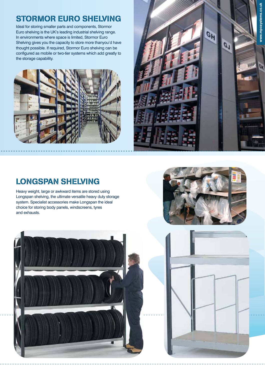#### STORMOR EURO SHELVING

Ideal for storing smaller parts and components, Stormor Euro shelving is the UK's leading industrial shelving range. In environments where space is limited, Stormor Euro Shelving gives you the capacity to store more thanyou'd have thought possible. If required, Stormor Euro shelving can be configured as mobile or two-tier systems which add greatly to the storage capability.





#### LONGSPAN SHELVING

Heavy weight, large or awkward items are stored using Longspan shelving, the ultimate versatile heavy duty storage system. Specialist accessories make Longspan the ideal choice for storing body panels, windscreens, tyres and exhausts.